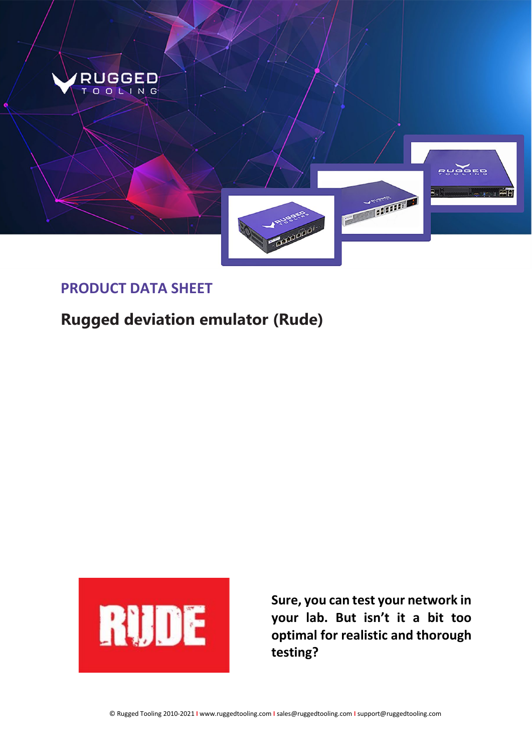

### **PRODUCT DATA SHEET**

# **Rugged deviation emulator (Rude)**



**Sure, you can test your network in your lab. But isn't it a bit too optimal for realistic and thorough testing?**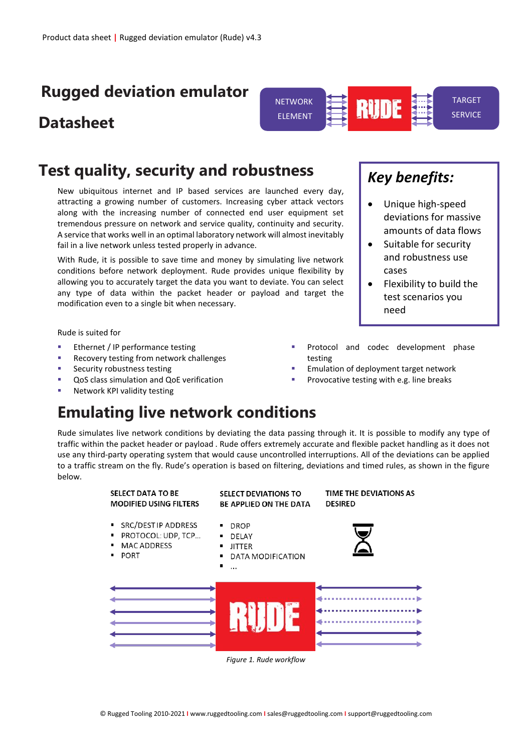## **Rugged deviation emulator**

## **Datasheet**

### **Test quality, security and robustness**

New ubiquitous internet and IP based services are launched every day, attracting a growing number of customers. Increasing cyber attack vectors along with the increasing number of connected end user equipment set tremendous pressure on network and service quality, continuity and security. A service that works well in an optimal laboratory network will almost inevitably fail in a live network unless tested properly in advance.

With Rude, it is possible to save time and money by simulating live network conditions before network deployment. Rude provides unique flexibility by allowing you to accurately target the data you want to deviate. You can select any type of data within the packet header or payload and target the modification even to a single bit when necessary.

Rude is suited for

- Ethernet / IP performance testing
- Recovery testing from network challenges
- Security robustness testing
- QoS class simulation and QoE verification
- Network KPI validity testing

## **Emulating live network conditions**

Rude simulates live network conditions by deviating the data passing through it. It is possible to modify any type of traffic within the packet header or payload . Rude offers extremely accurate and flexible packet handling as it does not use any third-party operating system that would cause uncontrolled interruptions. All of the deviations can be applied to a traffic stream on the fly. Rude's operation is based on filtering, deviations and timed rules, as shown in the figure below.



*Figure 1. Rude workflow*

# *Key benefits:*

**RUDE** 

• Unique high-speed deviations for massive amounts of data flows

TARGET **SERVICE** 

- Suitable for security and robustness use cases
- Flexibility to build the test scenarios you need
- Protocol and codec development phase testing
- Emulation of deployment target network
- Provocative testing with e.g. line breaks

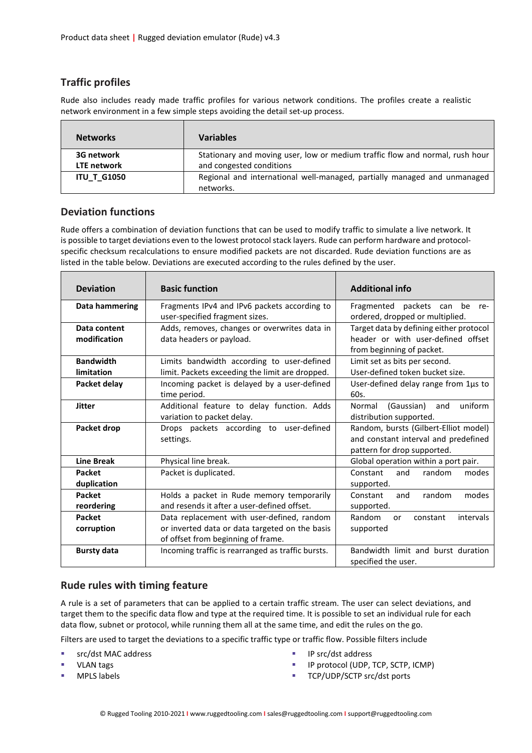#### **Traffic profiles**

 $\blacksquare$ 

Rude also includes ready made traffic profiles for various network conditions. The profiles create a realistic network environment in a few simple steps avoiding the detail set-up process.

| <b>Networks</b>    | <b>Variables</b>                                                                      |
|--------------------|---------------------------------------------------------------------------------------|
| 3G network         | Stationary and moving user, low or medium traffic flow and normal, rush hour          |
| <b>LTE</b> network | and congested conditions                                                              |
| <b>ITU_T_G1050</b> | Regional and international well-managed, partially managed and unmanaged<br>networks. |

#### **Deviation functions**

Rude offers a combination of deviation functions that can be used to modify traffic to simulate a live network. It is possible to target deviations even to the lowest protocol stack layers. Rude can perform hardware and protocolspecific checksum recalculations to ensure modified packets are not discarded. Rude deviation functions are as listed in the table below. Deviations are executed according to the rules defined by the user.

| <b>Deviation</b>               | <b>Basic function</b>                                                                                                              | <b>Additional info</b>                                                                                       |
|--------------------------------|------------------------------------------------------------------------------------------------------------------------------------|--------------------------------------------------------------------------------------------------------------|
| Data hammering                 | Fragments IPv4 and IPv6 packets according to<br>user-specified fragment sizes.                                                     | Fragmented packets can<br>be re-<br>ordered, dropped or multiplied.                                          |
| Data content<br>modification   | Adds, removes, changes or overwrites data in<br>data headers or payload.                                                           | Target data by defining either protocol<br>header or with user-defined offset<br>from beginning of packet.   |
| <b>Bandwidth</b><br>limitation | Limits bandwidth according to user-defined<br>limit. Packets exceeding the limit are dropped.                                      | Limit set as bits per second.<br>User-defined token bucket size.                                             |
| Packet delay                   | Incoming packet is delayed by a user-defined<br>time period.                                                                       | User-defined delay range from 1µs to<br>60s.                                                                 |
| Jitter                         | Additional feature to delay function. Adds<br>variation to packet delay.                                                           | uniform<br>(Gaussian)<br>Normal<br>and<br>distribution supported.                                            |
| Packet drop                    | Drops packets according to user-defined<br>settings.                                                                               | Random, bursts (Gilbert-Elliot model)<br>and constant interval and predefined<br>pattern for drop supported. |
| <b>Line Break</b>              | Physical line break.                                                                                                               | Global operation within a port pair.                                                                         |
| <b>Packet</b><br>duplication   | Packet is duplicated.                                                                                                              | random<br>Constant<br>and<br>modes<br>supported.                                                             |
| <b>Packet</b><br>reordering    | Holds a packet in Rude memory temporarily<br>and resends it after a user-defined offset.                                           | random<br>modes<br>Constant<br>and<br>supported.                                                             |
| <b>Packet</b><br>corruption    | Data replacement with user-defined, random<br>or inverted data or data targeted on the basis<br>of offset from beginning of frame. | Random<br>intervals<br>constant<br>or<br>supported                                                           |
| <b>Bursty data</b>             | Incoming traffic is rearranged as traffic bursts.                                                                                  | Bandwidth limit and burst duration<br>specified the user.                                                    |

#### **Rude rules with timing feature**

A rule is a set of parameters that can be applied to a certain traffic stream. The user can select deviations, and target them to the specific data flow and type at the required time. It is possible to set an individual rule for each data flow, subnet or protocol, while running them all at the same time, and edit the rules on the go.

Filters are used to target the deviations to a specific traffic type or traffic flow. Possible filters include

- src/dst MAC address
- VLAN tags
- MPLS labels
- **IP src/dst address**
- IP protocol (UDP, TCP, SCTP, ICMP)
- TCP/UDP/SCTP src/dst ports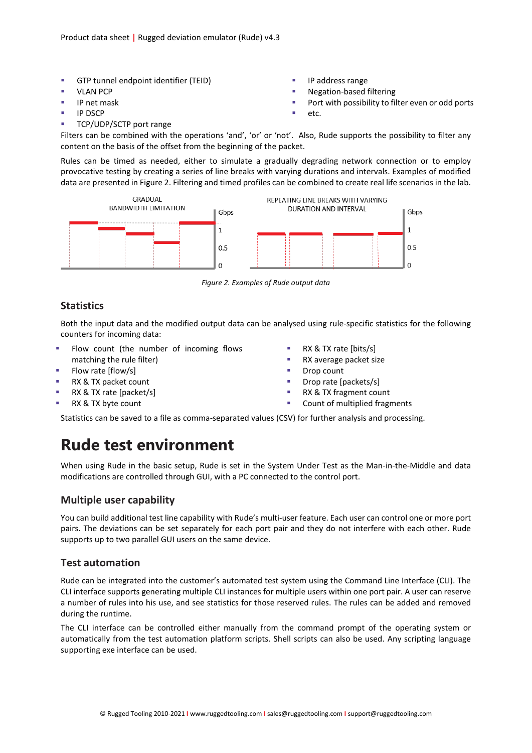- GTP tunnel endpoint identifier (TEID)
- **VLAN PCP**
- IP net mask
- IP DSCP
- TCP/UDP/SCTP port range
- IP address range
- Negation-based filtering
- **Port with possibility to filter even or odd ports**
- etc.

Filters can be combined with the operations 'and', 'or' or 'not'. Also, Rude supports the possibility to filter any content on the basis of the offset from the beginning of the packet.

Rules can be timed as needed, either to simulate a gradually degrading network connection or to employ provocative testing by creating a series of line breaks with varying durations and intervals. Examples of modified data are presented in Figure 2. Filtering and timed profiles can be combined to create real life scenarios in the lab.



*Figure 2. Examples of Rude output data*

#### **Statistics**

Both the input data and the modified output data can be analysed using rule-specific statistics for the following counters for incoming data:

- Flow count (the number of incoming flows
- matching the rule filter) Flow rate [flow/s]
- 
- RX & TX packet count
- RX & TX rate [packet/s]
- RX & TX byte count
- RX & TX rate [bits/s]
- **RX** average packet size
- **Drop count**
- Drop rate [packets/s]
- RX & TX fragment count
- **•** Count of multiplied fragments

Statistics can be saved to a file as comma-separated values (CSV) for further analysis and processing.

### **Rude test environment**

When using Rude in the basic setup, Rude is set in the System Under Test as the Man-in-the-Middle and data modifications are controlled through GUI, with a PC connected to the control port.

#### **Multiple user capability**

You can build additional test line capability with Rude's multi-user feature. Each user can control one or more port pairs. The deviations can be set separately for each port pair and they do not interfere with each other. Rude supports up to two parallel GUI users on the same device.

#### **Test automation**

Rude can be integrated into the customer's automated test system using the Command Line Interface (CLI). The CLI interface supports generating multiple CLI instances for multiple users within one port pair. A user can reserve a number of rules into his use, and see statistics for those reserved rules. The rules can be added and removed during the runtime.

The CLI interface can be controlled either manually from the command prompt of the operating system or automatically from the test automation platform scripts. Shell scripts can also be used. Any scripting language supporting exe interface can be used.